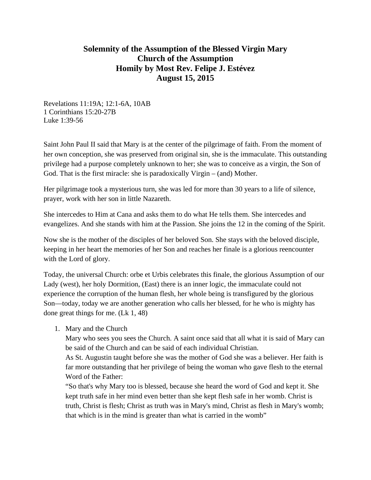## **Solemnity of the Assumption of the Blessed Virgin Mary Church of the Assumption Homily by Most Rev. Felipe J. Estévez August 15, 2015**

Revelations 11:19A; 12:1-6A, 10AB 1 Corinthians 15:20-27B Luke 1:39-56

Saint John Paul II said that Mary is at the center of the pilgrimage of faith. From the moment of her own conception, she was preserved from original sin, she is the immaculate. This outstanding privilege had a purpose completely unknown to her; she was to conceive as a virgin, the Son of God. That is the first miracle: she is paradoxically Virgin – (and) Mother.

Her pilgrimage took a mysterious turn, she was led for more than 30 years to a life of silence, prayer, work with her son in little Nazareth.

She intercedes to Him at Cana and asks them to do what He tells them. She intercedes and evangelizes. And she stands with him at the Passion. She joins the 12 in the coming of the Spirit.

Now she is the mother of the disciples of her beloved Son. She stays with the beloved disciple, keeping in her heart the memories of her Son and reaches her finale is a glorious reencounter with the Lord of glory.

Today, the universal Church: orbe et Urbis celebrates this finale, the glorious Assumption of our Lady (west), her holy Dormition, (East) there is an inner logic, the immaculate could not experience the corruption of the human flesh, her whole being is transfigured by the glorious Son—today, today we are another generation who calls her blessed, for he who is mighty has done great things for me. (Lk 1, 48)

1. Mary and the Church

Mary who sees you sees the Church. A saint once said that all what it is said of Mary can be said of the Church and can be said of each individual Christian.

As St. Augustin taught before she was the mother of God she was a believer. Her faith is far more outstanding that her privilege of being the woman who gave flesh to the eternal Word of the Father:

"So that's why Mary too is blessed, because she heard the word of God and kept it. She kept truth safe in her mind even better than she kept flesh safe in her womb. Christ is truth, Christ is flesh; Christ as truth was in Mary's mind, Christ as flesh in Mary's womb; that which is in the mind is greater than what is carried in the womb"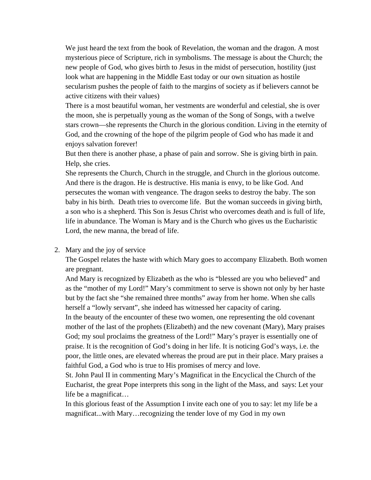We just heard the text from the book of Revelation, the woman and the dragon. A most mysterious piece of Scripture, rich in symbolisms. The message is about the Church; the new people of God, who gives birth to Jesus in the midst of persecution, hostility (just look what are happening in the Middle East today or our own situation as hostile secularism pushes the people of faith to the margins of society as if believers cannot be active citizens with their values)

There is a most beautiful woman, her vestments are wonderful and celestial, she is over the moon, she is perpetually young as the woman of the Song of Songs, with a twelve stars crown—she represents the Church in the glorious condition. Living in the eternity of God, and the crowning of the hope of the pilgrim people of God who has made it and enjoys salvation forever!

But then there is another phase, a phase of pain and sorrow. She is giving birth in pain. Help, she cries.

She represents the Church, Church in the struggle, and Church in the glorious outcome. And there is the dragon. He is destructive. His mania is envy, to be like God. And persecutes the woman with vengeance. The dragon seeks to destroy the baby. The son baby in his birth. Death tries to overcome life. But the woman succeeds in giving birth, a son who is a shepherd. This Son is Jesus Christ who overcomes death and is full of life, life in abundance. The Woman is Mary and is the Church who gives us the Eucharistic Lord, the new manna, the bread of life.

## 2. Mary and the joy of service

The Gospel relates the haste with which Mary goes to accompany Elizabeth. Both women are pregnant.

And Mary is recognized by Elizabeth as the who is "blessed are you who believed" and as the "mother of my Lord!" Mary's commitment to serve is shown not only by her haste but by the fact she "she remained three months" away from her home. When she calls herself a "lowly servant", she indeed has witnessed her capacity of caring.

In the beauty of the encounter of these two women, one representing the old covenant mother of the last of the prophets (Elizabeth) and the new covenant (Mary), Mary praises God; my soul proclaims the greatness of the Lord!" Mary's prayer is essentially one of praise. It is the recognition of God's doing in her life. It is noticing God's ways, i.e. the poor, the little ones, are elevated whereas the proud are put in their place. Mary praises a faithful God, a God who is true to His promises of mercy and love.

St. John Paul II in commenting Mary's Magnificat in the Encyclical the Church of the Eucharist, the great Pope interprets this song in the light of the Mass, and says: Let your life be a magnificat…

In this glorious feast of the Assumption I invite each one of you to say: let my life be a magnificat...with Mary…recognizing the tender love of my God in my own